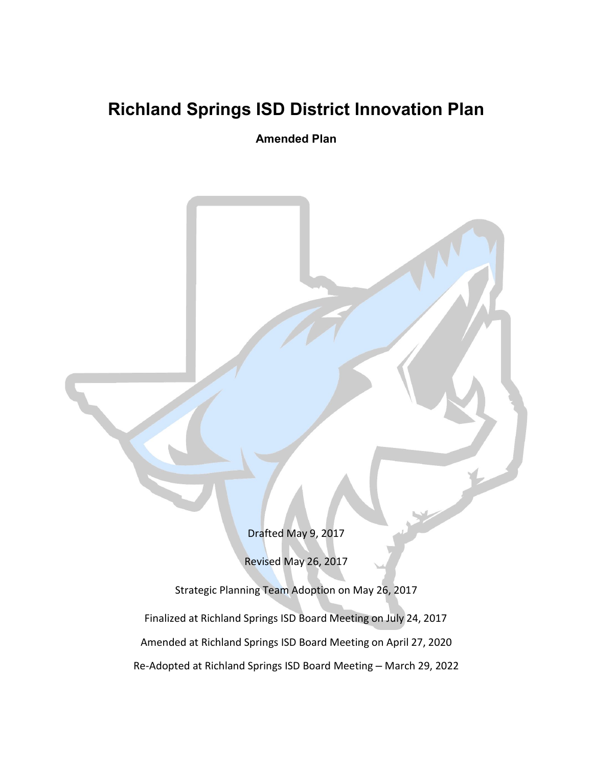# **Richland Springs ISD District Innovation Plan**

**Amended Plan**

Drafted May 9, 2017

Revised May 26, 2017

Strategic Planning Team Adoption on May 26, 2017 Finalized at Richland Springs ISD Board Meeting on July 24, 2017 Amended at Richland Springs ISD Board Meeting on April 27, 2020 Re-Adopted at Richland Springs ISD Board Meeting – March 29, 2022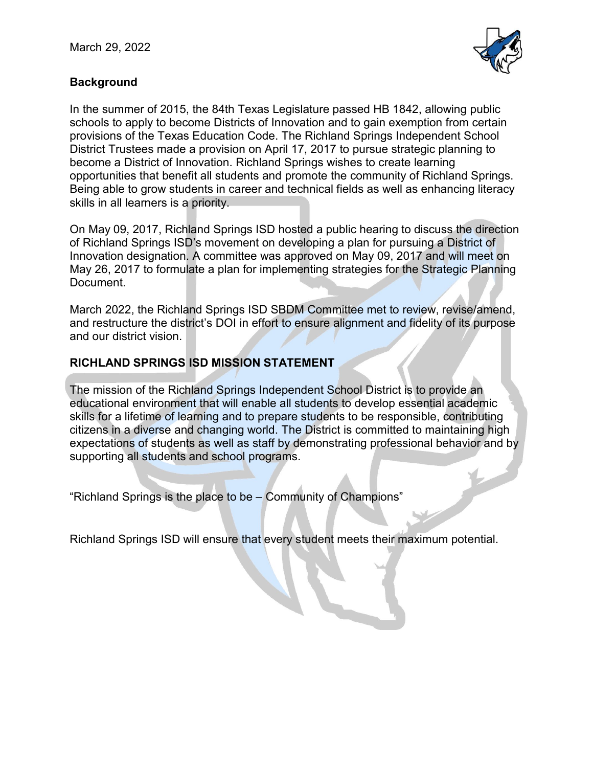

# **Background**

In the summer of 2015, the 84th Texas Legislature passed HB 1842, allowing public schools to apply to become Districts of Innovation and to gain exemption from certain provisions of the Texas Education Code. The Richland Springs Independent School District Trustees made a provision on April 17, 2017 to pursue strategic planning to become a District of Innovation. Richland Springs wishes to create learning opportunities that benefit all students and promote the community of Richland Springs. Being able to grow students in career and technical fields as well as enhancing literacy skills in all learners is a priority.

On May 09, 2017, Richland Springs ISD hosted a public hearing to discuss the direction of Richland Springs ISD's movement on developing a plan for pursuing a District of Innovation designation. A committee was approved on May 09, 2017 and will meet on May 26, 2017 to formulate a plan for implementing strategies for the Strategic Planning Document.

March 2022, the Richland Springs ISD SBDM Committee met to review, revise/amend, and restructure the district's DOI in effort to ensure alignment and fidelity of its purpose and our district vision.

## **RICHLAND SPRINGS ISD MISSION STATEMENT**

The mission of the Richland Springs Independent School District is to provide an educational environment that will enable all students to develop essential academic skills for a lifetime of learning and to prepare students to be responsible, contributing citizens in a diverse and changing world. The District is committed to maintaining high expectations of students as well as staff by demonstrating professional behavior and by supporting all students and school programs.

"Richland Springs is the place to be – Community of Champions"

Richland Springs ISD will ensure that every student meets their maximum potential.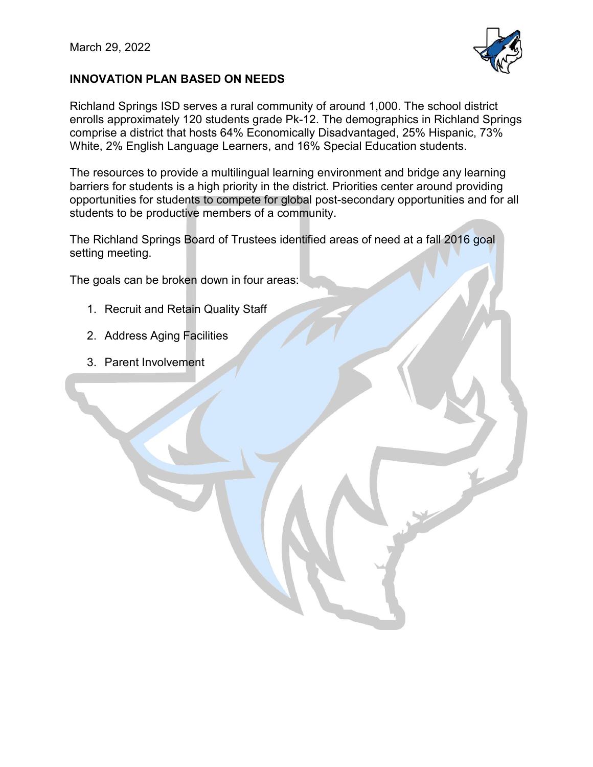

## **INNOVATION PLAN BASED ON NEEDS**

Richland Springs ISD serves a rural community of around 1,000. The school district enrolls approximately 120 students grade Pk-12. The demographics in Richland Springs comprise a district that hosts 64% Economically Disadvantaged, 25% Hispanic, 73% White, 2% English Language Learners, and 16% Special Education students.

The resources to provide a multilingual learning environment and bridge any learning barriers for students is a high priority in the district. Priorities center around providing opportunities for students to compete for global post-secondary opportunities and for all students to be productive members of a community.

The Richland Springs Board of Trustees identified areas of need at a fall 2016 goal setting meeting.

The goals can be broken down in four areas:

- 1. Recruit and Retain Quality Staff
- 2. Address Aging Facilities
- 3. Parent Involvement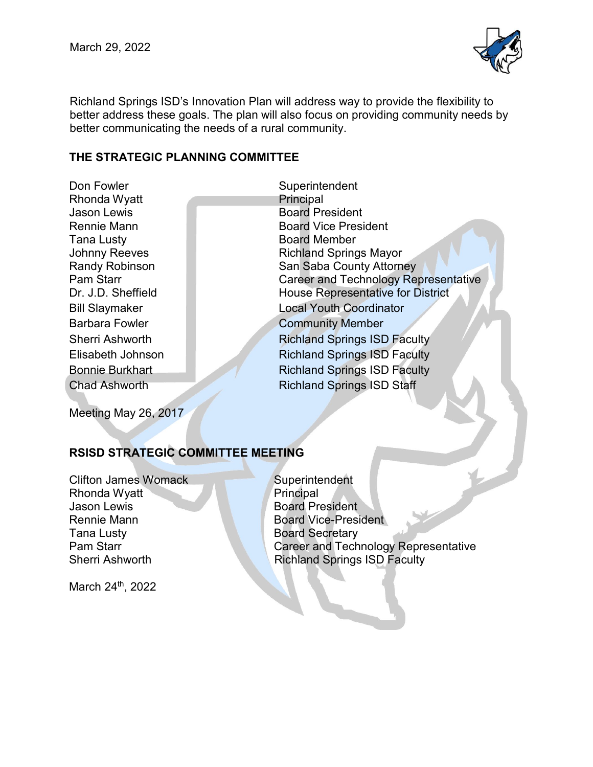

Richland Springs ISD's Innovation Plan will address way to provide the flexibility to better address these goals. The plan will also focus on providing community needs by better communicating the needs of a rural community.

#### **THE STRATEGIC PLANNING COMMITTEE**

Don Fowler Superintendent Rhonda Wyatt **Principal Jason Lewis Contract Contract Contract Contract Contract Contract Contract Contract Contract Contract Contract Contract Contract Contract Contract Contract Contract Contract Contract Contract Contract Contract Contract** Tana Lusty Board Member<br>Johnny Reeves Richland Spring

Rennie Mann Board Vice President Richland Springs Mayor Randy Robinson **National San Saba County Attorney** Pam Starr **Career and Technology Representative** Dr. J.D. Sheffield House Representative for District Bill Slaymaker **Local Youth Coordinator** Barbara Fowler **Community Member** Sherri Ashworth Richland Springs ISD Faculty Elisabeth Johnson Richland Springs ISD Faculty Bonnie Burkhart Richland Springs ISD Faculty **Chad Ashworth Richland Springs ISD Staff** 

Meeting May 26, 2017

# **RSISD STRATEGIC COMMITTEE MEETING**

Clifton James Womack Superintendent Rhonda Wyatt **Principal** Jason Lewis **Board President** Rennie Mann Board Vice-President **Tana Lusty Board Secretary** 

Pam Starr Career and Technology Representative<br>Sherri Ashworth Career and Springs ISD Faculty **Richland Springs ISD Faculty** 

March 24<sup>th</sup>, 2022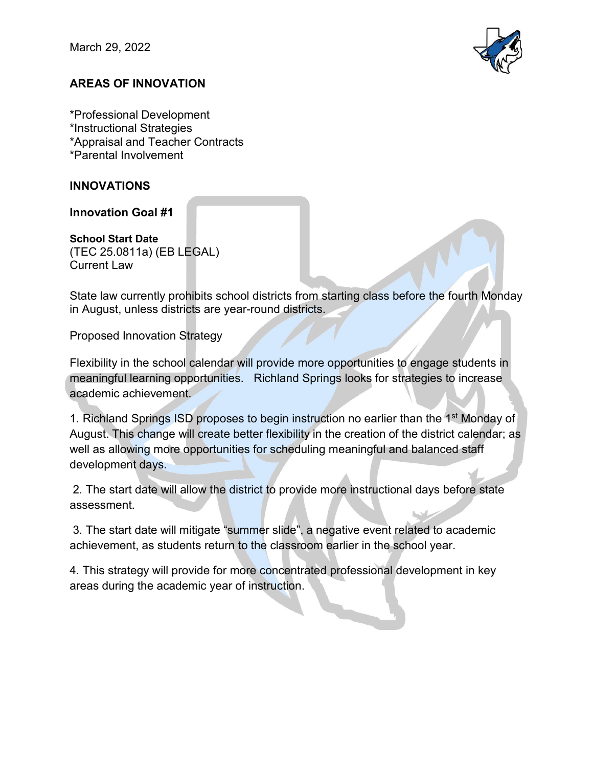March 29, 2022



# **AREAS OF INNOVATION**

\*Professional Development \*Instructional Strategies \*Appraisal and Teacher Contracts \*Parental Involvement

## **INNOVATIONS**

**Innovation Goal #1**

**School Start Date** (TEC 25.0811a) (EB LEGAL) Current Law

State law currently prohibits school districts from starting class before the fourth Monday in August, unless districts are year-round districts.

Proposed Innovation Strategy

Flexibility in the school calendar will provide more opportunities to engage students in meaningful learning opportunities. Richland Springs looks for strategies to increase academic achievement.

1. Richland Springs ISD proposes to begin instruction no earlier than the 1<sup>st</sup> Monday of August. This change will create better flexibility in the creation of the district calendar; as well as allowing more opportunities for scheduling meaningful and balanced staff development days.

2. The start date will allow the district to provide more instructional days before state assessment.

3. The start date will mitigate "summer slide", a negative event related to academic achievement, as students return to the classroom earlier in the school year.

4. This strategy will provide for more concentrated professional development in key areas during the academic year of instruction.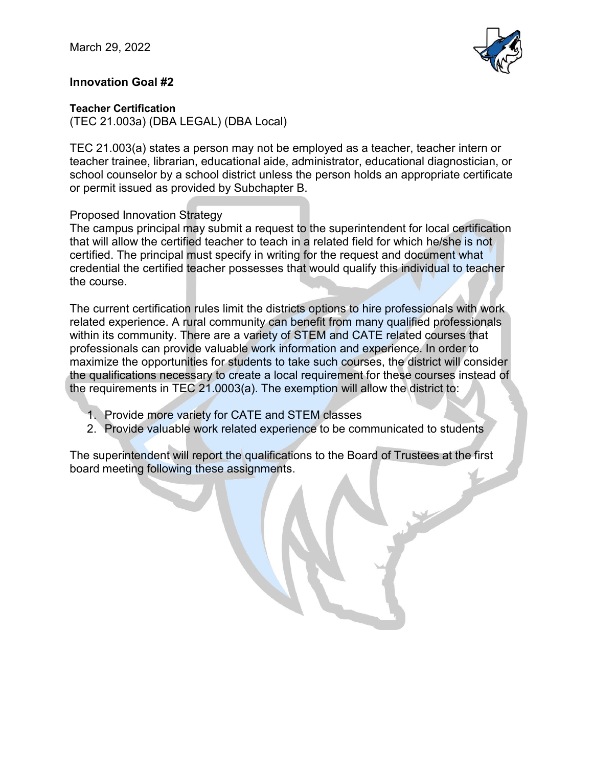

## **Innovation Goal #2**

#### **Teacher Certification**

(TEC 21.003a) (DBA LEGAL) (DBA Local)

TEC 21.003(a) states a person may not be employed as a teacher, teacher intern or teacher trainee, librarian, educational aide, administrator, educational diagnostician, or school counselor by a school district unless the person holds an appropriate certificate or permit issued as provided by Subchapter B.

## Proposed Innovation Strategy

The campus principal may submit a request to the superintendent for local certification that will allow the certified teacher to teach in a related field for which he/she is not certified. The principal must specify in writing for the request and document what credential the certified teacher possesses that would qualify this individual to teacher the course.

The current certification rules limit the districts options to hire professionals with work related experience. A rural community can benefit from many qualified professionals within its community. There are a variety of STEM and CATE related courses that professionals can provide valuable work information and experience. In order to maximize the opportunities for students to take such courses, the district will consider the qualifications necessary to create a local requirement for these courses instead of the requirements in TEC 21.0003(a). The exemption will allow the district to:

- 1. Provide more variety for CATE and STEM classes
- 2. Provide valuable work related experience to be communicated to students

The superintendent will report the qualifications to the Board of Trustees at the first board meeting following these assignments.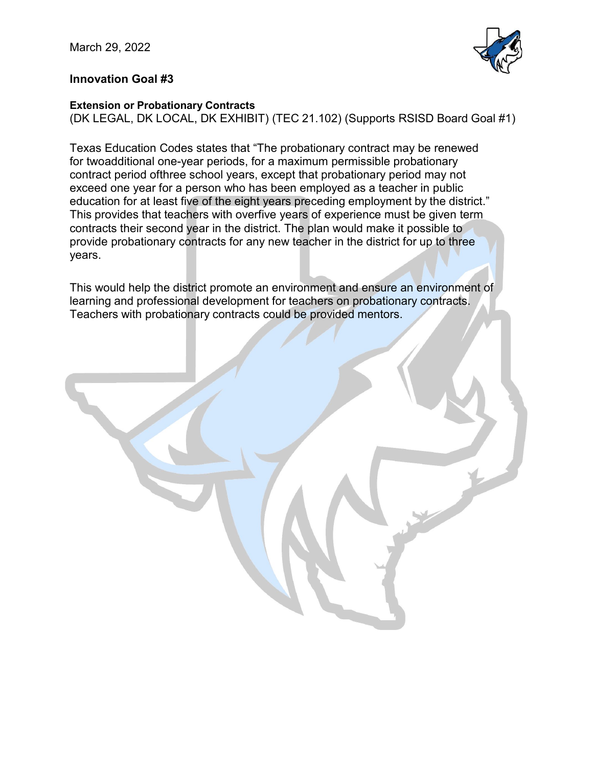

## **Innovation Goal #3**

#### **Extension or Probationary Contracts**

(DK LEGAL, DK LOCAL, DK EXHIBIT) (TEC 21.102) (Supports RSISD Board Goal #1)

Texas Education Codes states that "The probationary contract may be renewed for twoadditional one-year periods, for a maximum permissible probationary contract period ofthree school years, except that probationary period may not exceed one year for a person who has been employed as a teacher in public education for at least five of the eight years preceding employment by the district." This provides that teachers with overfive years of experience must be given term contracts their second year in the district. The plan would make it possible to provide probationary contracts for any new teacher in the district for up to three years.

This would help the district promote an environment and ensure an environment of learning and professional development for teachers on probationary contracts. Teachers with probationary contracts could be provided mentors.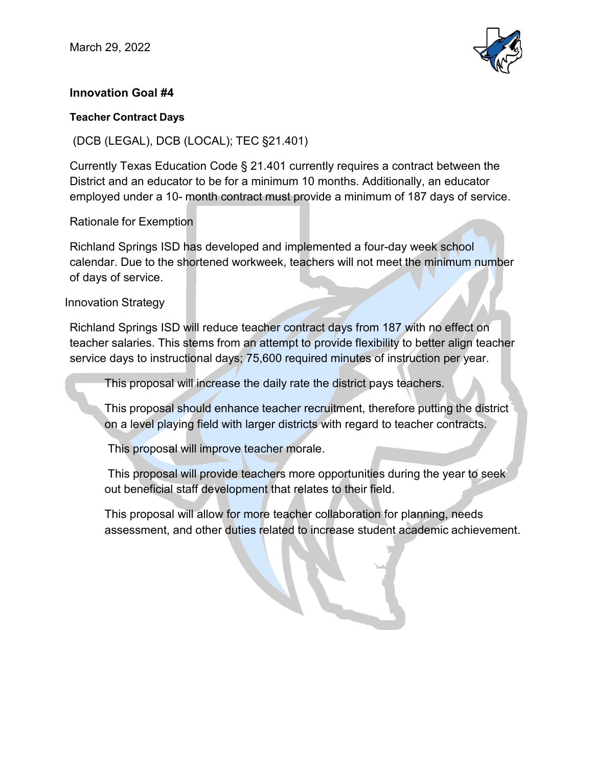

# **Innovation Goal #4**

#### **Teacher Contract Days**

(DCB (LEGAL), DCB (LOCAL); TEC §21.401)

Currently Texas Education Code § 21.401 currently requires a contract between the District and an educator to be for a minimum 10 months. Additionally, an educator employed under a 10- month contract must provide a minimum of 187 days of service.

## Rationale for Exemption

Richland Springs ISD has developed and implemented a four-day week school calendar. Due to the shortened workweek, teachers will not meet the minimum number of days of service.

## Innovation Strategy

Richland Springs ISD will reduce teacher contract days from 187 with no effect on teacher salaries. This stems from an attempt to provide flexibility to better align teacher service days to instructional days; 75,600 required minutes of instruction per year.

This proposal will increase the daily rate the district pays teachers.

This proposal should enhance teacher recruitment, therefore putting the district on a level playing field with larger districts with regard to teacher contracts.

This proposal will improve teacher morale.

This proposal will provide teachers more opportunities during the year to seek out beneficial staff development that relates to their field.

This proposal will allow for more teacher collaboration for planning, needs assessment, and other duties related to increase student academic achievement.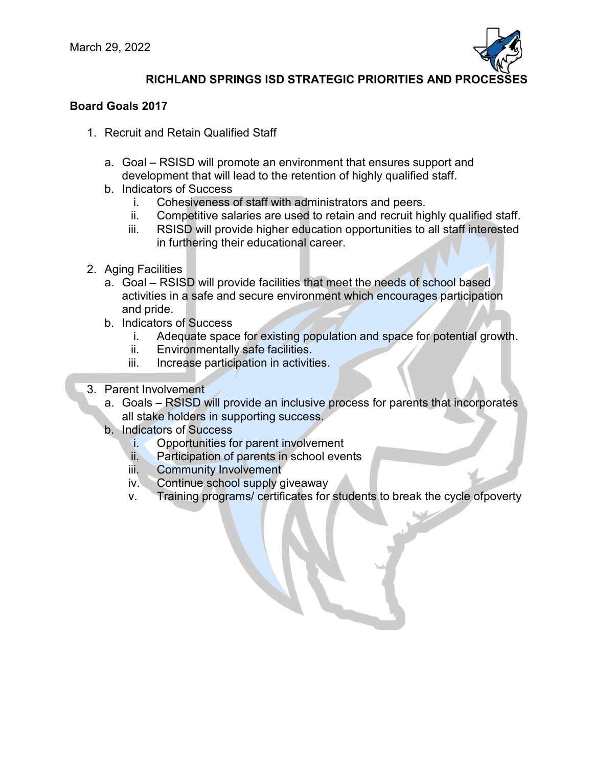

# **RICHLAND SPRINGS ISD STRATEGIC PRIORITIES AND PROCESSES**

#### **Board Goals 2017**

- 1. Recruit and Retain Qualified Staff
	- a. Goal RSISD will promote an environment that ensures support and development that will lead to the retention of highly qualified staff.
	- b. Indicators of Success
		- i. Cohesiveness of staff with administrators and peers.
		- ii. Competitive salaries are used to retain and recruit highly qualified staff.
		- iii. RSISD will provide higher education opportunities to all staff interested in furthering their educational career.
- 2. Aging Facilities
	- a. Goal RSISD will provide facilities that meet the needs of school based activities in a safe and secure environment which encourages participation and pride.
	- b. Indicators of Success
		- i. Adequate space for existing population and space for potential growth.
		- ii. Environmentally safe facilities.
		- iii. Increase participation in activities.
- 3. Parent Involvement
	- a. Goals RSISD will provide an inclusive process for parents that incorporates all stake holders in supporting success.
	- b. Indicators of Success
		- i. Opportunities for parent involvement
		- ii. Participation of parents in school events
		- iii. Community Involvement
		- iv. Continue school supply giveaway
		- v. Training programs/ certificates for students to break the cycle ofpoverty